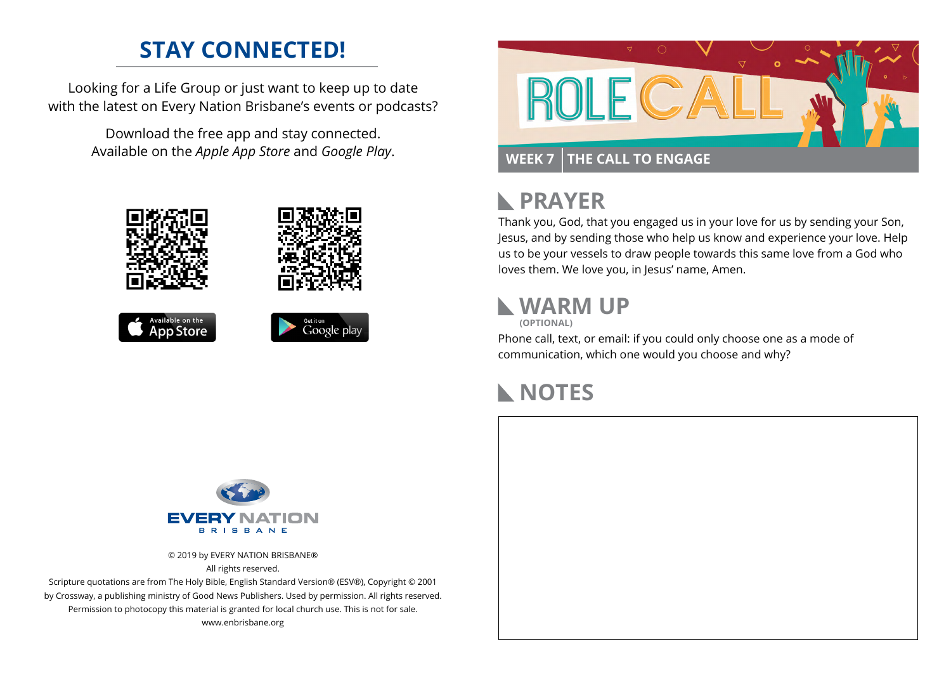## **STAY CONNECTED!**

Looking for a Life Group or just want to keep up to date with the latest on Every Nation Brisbane's events or podcasts?

> Download the free app and stay connected. Available on the *Apple App Store* and *Google Play*.











#### **PRAYER**  $\mathbb{R}$

Thank you, God, that you engaged us in your love for us by sending your Son, Jesus, and by sending those who help us know and experience your love. Help us to be your vessels to draw people towards this same love from a God who loves them. We love you, in Jesus' name, Amen.

#### **WARM UP**

**(OPTIONAL)**

Phone call, text, or email: if you could only choose one as a mode of communication, which one would you choose and why?

## **NOTES**



© 2019 by EVERY NATION BRISBANE® All rights reserved.

Scripture quotations are from The Holy Bible, English Standard Version® (ESV®), Copyright © 2001 by Crossway, a publishing ministry of Good News Publishers. Used by permission. All rights reserved. Permission to photocopy this material is granted for local church use. This is not for sale. www.enbrisbane.org